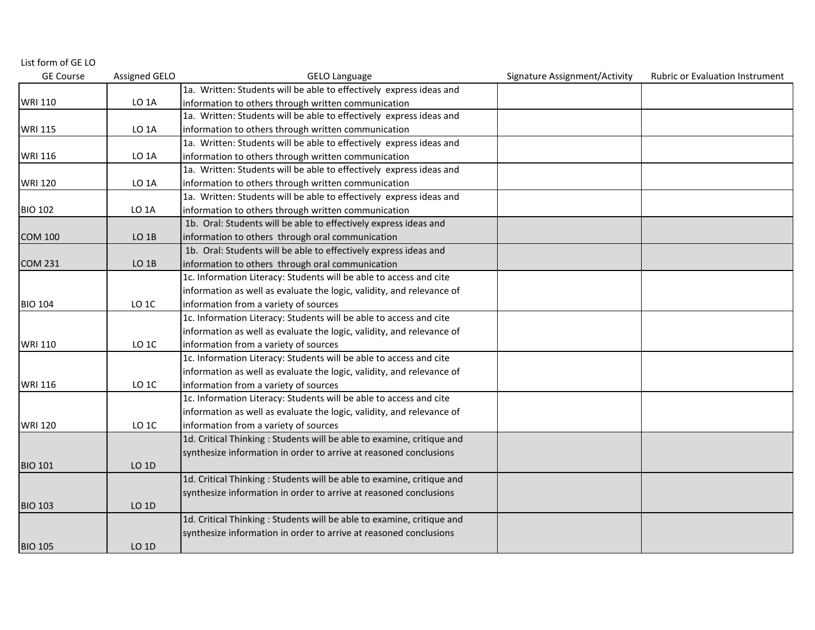| List form of GE LO |                   |                                                                        |                               |                                        |
|--------------------|-------------------|------------------------------------------------------------------------|-------------------------------|----------------------------------------|
| <b>GE Course</b>   | Assigned GELO     | <b>GELO Language</b>                                                   | Signature Assignment/Activity | <b>Rubric or Evaluation Instrument</b> |
|                    |                   | 1a. Written: Students will be able to effectively express ideas and    |                               |                                        |
| <b>WRI 110</b>     | LO <sub>1</sub> A | information to others through written communication                    |                               |                                        |
|                    |                   | 1a. Written: Students will be able to effectively express ideas and    |                               |                                        |
| <b>WRI 115</b>     | LO <sub>1</sub> A | information to others through written communication                    |                               |                                        |
|                    |                   | 1a. Written: Students will be able to effectively express ideas and    |                               |                                        |
| <b>WRI 116</b>     | LO <sub>1</sub> A | information to others through written communication                    |                               |                                        |
|                    |                   | 1a. Written: Students will be able to effectively express ideas and    |                               |                                        |
| <b>WRI 120</b>     | LO <sub>1</sub> A | information to others through written communication                    |                               |                                        |
|                    |                   | 1a. Written: Students will be able to effectively express ideas and    |                               |                                        |
| <b>BIO 102</b>     | <b>LO 1A</b>      | information to others through written communication                    |                               |                                        |
|                    |                   | 1b. Oral: Students will be able to effectively express ideas and       |                               |                                        |
| <b>COM 100</b>     | $LO$ 1B           | information to others through oral communication                       |                               |                                        |
|                    |                   | 1b. Oral: Students will be able to effectively express ideas and       |                               |                                        |
| <b>COM 231</b>     | LO <sub>1B</sub>  | information to others through oral communication                       |                               |                                        |
|                    |                   | 1c. Information Literacy: Students will be able to access and cite     |                               |                                        |
|                    |                   | information as well as evaluate the logic, validity, and relevance of  |                               |                                        |
| <b>BIO 104</b>     | LO <sub>1C</sub>  | information from a variety of sources                                  |                               |                                        |
|                    |                   | 1c. Information Literacy: Students will be able to access and cite     |                               |                                        |
|                    |                   | information as well as evaluate the logic, validity, and relevance of  |                               |                                        |
| <b>WRI 110</b>     | LO <sub>1C</sub>  | information from a variety of sources                                  |                               |                                        |
|                    |                   | 1c. Information Literacy: Students will be able to access and cite     |                               |                                        |
|                    |                   | information as well as evaluate the logic, validity, and relevance of  |                               |                                        |
| <b>WRI 116</b>     | LO <sub>1C</sub>  | information from a variety of sources                                  |                               |                                        |
|                    |                   | 1c. Information Literacy: Students will be able to access and cite     |                               |                                        |
|                    |                   | information as well as evaluate the logic, validity, and relevance of  |                               |                                        |
| <b>WRI 120</b>     | LO <sub>1C</sub>  | information from a variety of sources                                  |                               |                                        |
|                    |                   | 1d. Critical Thinking: Students will be able to examine, critique and  |                               |                                        |
|                    |                   | synthesize information in order to arrive at reasoned conclusions      |                               |                                        |
| <b>BIO 101</b>     | LO 1D             |                                                                        |                               |                                        |
|                    |                   | 1d. Critical Thinking: Students will be able to examine, critique and  |                               |                                        |
|                    |                   | synthesize information in order to arrive at reasoned conclusions      |                               |                                        |
| <b>BIO 103</b>     | LO 1D             |                                                                        |                               |                                        |
|                    |                   | 1d. Critical Thinking : Students will be able to examine, critique and |                               |                                        |
|                    |                   | synthesize information in order to arrive at reasoned conclusions      |                               |                                        |
| <b>BIO 105</b>     | LO 1D             |                                                                        |                               |                                        |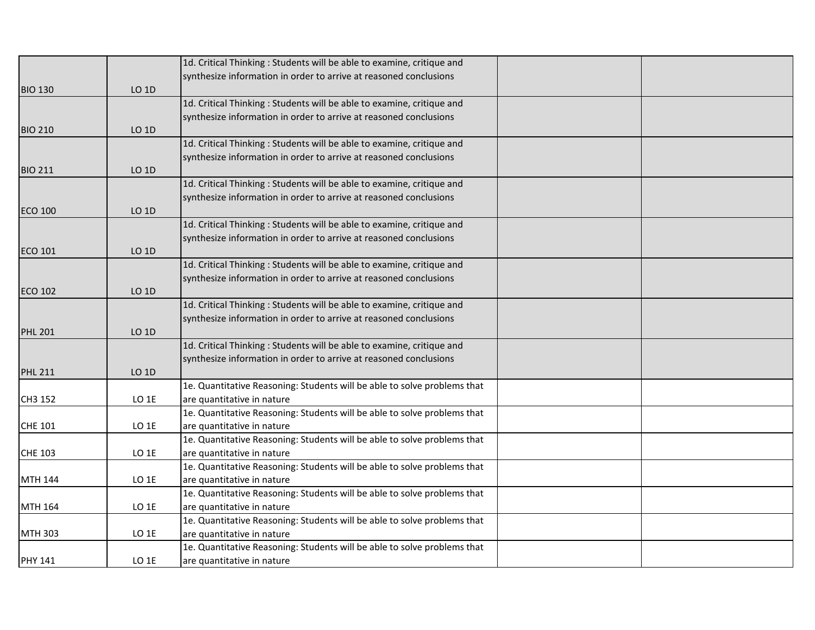|                |                  | 1d. Critical Thinking: Students will be able to examine, critique and                                  |  |
|----------------|------------------|--------------------------------------------------------------------------------------------------------|--|
|                |                  | synthesize information in order to arrive at reasoned conclusions                                      |  |
| <b>BIO 130</b> | LO 1D            |                                                                                                        |  |
|                |                  | 1d. Critical Thinking: Students will be able to examine, critique and                                  |  |
|                |                  | synthesize information in order to arrive at reasoned conclusions                                      |  |
| <b>BIO 210</b> | LO 1D            |                                                                                                        |  |
|                |                  | 1d. Critical Thinking: Students will be able to examine, critique and                                  |  |
|                |                  | synthesize information in order to arrive at reasoned conclusions                                      |  |
| <b>BIO 211</b> | LO 1D            |                                                                                                        |  |
|                |                  | 1d. Critical Thinking: Students will be able to examine, critique and                                  |  |
|                |                  | synthesize information in order to arrive at reasoned conclusions                                      |  |
| <b>ECO 100</b> | LO 1D            |                                                                                                        |  |
|                |                  | 1d. Critical Thinking: Students will be able to examine, critique and                                  |  |
|                |                  | synthesize information in order to arrive at reasoned conclusions                                      |  |
| <b>ECO 101</b> | LO 1D            |                                                                                                        |  |
|                |                  | 1d. Critical Thinking: Students will be able to examine, critique and                                  |  |
|                |                  | synthesize information in order to arrive at reasoned conclusions                                      |  |
| <b>ECO 102</b> | LO 1D            |                                                                                                        |  |
|                |                  | 1d. Critical Thinking: Students will be able to examine, critique and                                  |  |
|                |                  | synthesize information in order to arrive at reasoned conclusions                                      |  |
| <b>PHL 201</b> | LO 1D            |                                                                                                        |  |
|                |                  | 1d. Critical Thinking: Students will be able to examine, critique and                                  |  |
|                |                  | synthesize information in order to arrive at reasoned conclusions                                      |  |
| <b>PHL 211</b> | LO 1D            |                                                                                                        |  |
|                |                  | 1e. Quantitative Reasoning: Students will be able to solve problems that                               |  |
| CH3 152        | LO <sub>1E</sub> | are quantitative in nature                                                                             |  |
|                |                  | 1e. Quantitative Reasoning: Students will be able to solve problems that                               |  |
| <b>CHE 101</b> | LO 1E            | are quantitative in nature                                                                             |  |
|                | LO 1E            | 1e. Quantitative Reasoning: Students will be able to solve problems that                               |  |
| CHE 103        |                  | are quantitative in nature<br>1e. Quantitative Reasoning: Students will be able to solve problems that |  |
| <b>MTH 144</b> | $LO$ 1 $E$       |                                                                                                        |  |
|                |                  | are quantitative in nature<br>1e. Quantitative Reasoning: Students will be able to solve problems that |  |
| MTH 164        | LO <sub>1E</sub> | are quantitative in nature                                                                             |  |
|                |                  | 1e. Quantitative Reasoning: Students will be able to solve problems that                               |  |
| <b>MTH 303</b> | $LO$ 1E          | are quantitative in nature                                                                             |  |
|                |                  | 1e. Quantitative Reasoning: Students will be able to solve problems that                               |  |
| <b>PHY 141</b> | LO <sub>1E</sub> | are quantitative in nature                                                                             |  |
|                |                  |                                                                                                        |  |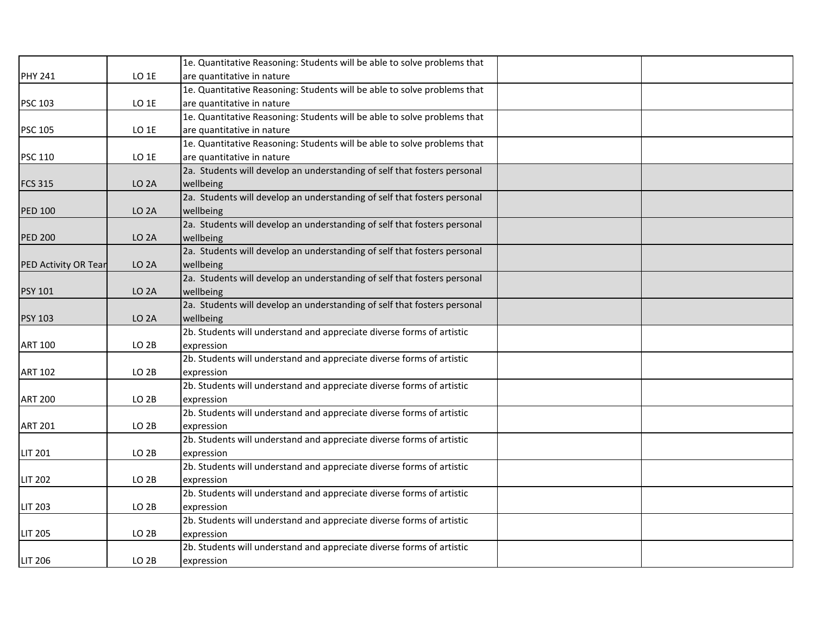|                      |                   | 1e. Quantitative Reasoning: Students will be able to solve problems that |  |
|----------------------|-------------------|--------------------------------------------------------------------------|--|
| <b>PHY 241</b>       | LO 1E             | are quantitative in nature                                               |  |
|                      |                   | 1e. Quantitative Reasoning: Students will be able to solve problems that |  |
| <b>PSC 103</b>       | $LO$ 1E           | are quantitative in nature                                               |  |
|                      |                   | 1e. Quantitative Reasoning: Students will be able to solve problems that |  |
| <b>PSC 105</b>       | LO 1E             | are quantitative in nature                                               |  |
|                      |                   | 1e. Quantitative Reasoning: Students will be able to solve problems that |  |
| <b>PSC 110</b>       | LO <sub>1E</sub>  | are quantitative in nature                                               |  |
|                      |                   | 2a. Students will develop an understanding of self that fosters personal |  |
| <b>FCS 315</b>       | LO <sub>2</sub> A | wellbeing                                                                |  |
|                      |                   | 2a. Students will develop an understanding of self that fosters personal |  |
| <b>PED 100</b>       | LO <sub>2</sub> A | wellbeing                                                                |  |
|                      |                   | 2a. Students will develop an understanding of self that fosters personal |  |
| <b>PED 200</b>       | LO <sub>2</sub> A | wellbeing                                                                |  |
|                      |                   | 2a. Students will develop an understanding of self that fosters personal |  |
| PED Activity OR Tear | LO <sub>2</sub> A | wellbeing                                                                |  |
|                      |                   | 2a. Students will develop an understanding of self that fosters personal |  |
| <b>PSY 101</b>       | LO <sub>2</sub> A | wellbeing                                                                |  |
|                      |                   | 2a. Students will develop an understanding of self that fosters personal |  |
| <b>PSY 103</b>       | LO <sub>2</sub> A | wellbeing                                                                |  |
|                      |                   | 2b. Students will understand and appreciate diverse forms of artistic    |  |
| <b>ART 100</b>       | LO <sub>2B</sub>  | expression                                                               |  |
|                      |                   | 2b. Students will understand and appreciate diverse forms of artistic    |  |
| <b>ART 102</b>       | LO <sub>2B</sub>  | expression                                                               |  |
|                      |                   | 2b. Students will understand and appreciate diverse forms of artistic    |  |
| <b>ART 200</b>       | LO <sub>2B</sub>  | expression                                                               |  |
|                      |                   | 2b. Students will understand and appreciate diverse forms of artistic    |  |
| <b>ART 201</b>       | LO <sub>2B</sub>  | expression                                                               |  |
|                      |                   | 2b. Students will understand and appreciate diverse forms of artistic    |  |
| <b>LIT 201</b>       | LO <sub>2B</sub>  | expression                                                               |  |
|                      |                   | 2b. Students will understand and appreciate diverse forms of artistic    |  |
| <b>LIT 202</b>       | LO <sub>2B</sub>  | expression                                                               |  |
|                      |                   | 2b. Students will understand and appreciate diverse forms of artistic    |  |
| <b>LIT 203</b>       | LO <sub>2B</sub>  | expression                                                               |  |
|                      |                   | 2b. Students will understand and appreciate diverse forms of artistic    |  |
| <b>LIT 205</b>       | LO <sub>2B</sub>  | expression                                                               |  |
|                      |                   | 2b. Students will understand and appreciate diverse forms of artistic    |  |
| <b>LIT 206</b>       | LO <sub>2B</sub>  | expression                                                               |  |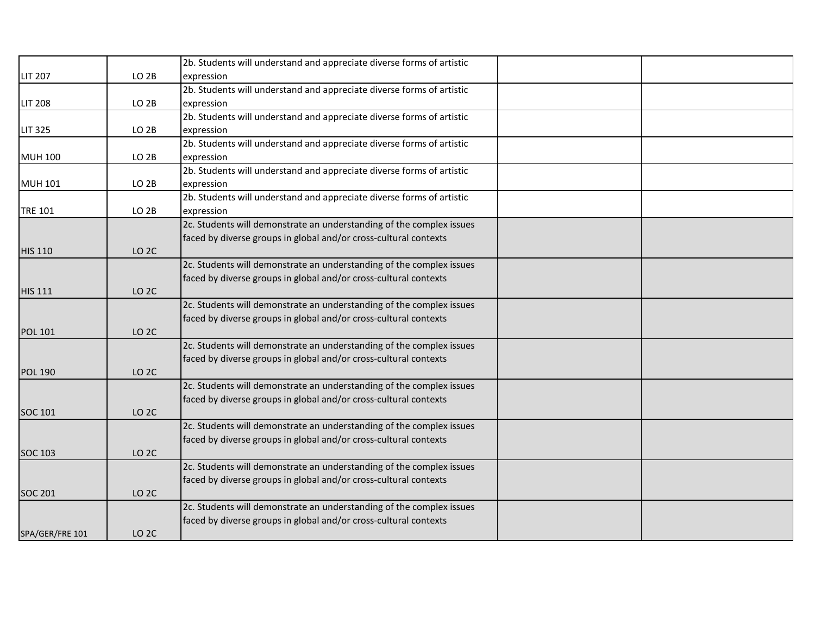|                 |                  | 2b. Students will understand and appreciate diverse forms of artistic |  |
|-----------------|------------------|-----------------------------------------------------------------------|--|
| <b>LIT 207</b>  | LO <sub>2B</sub> | expression                                                            |  |
|                 |                  | 2b. Students will understand and appreciate diverse forms of artistic |  |
| <b>LIT 208</b>  | LO <sub>2B</sub> | expression                                                            |  |
|                 |                  | 2b. Students will understand and appreciate diverse forms of artistic |  |
| <b>LIT 325</b>  | LO <sub>2B</sub> | expression                                                            |  |
|                 |                  | 2b. Students will understand and appreciate diverse forms of artistic |  |
| <b>MUH 100</b>  | LO <sub>2B</sub> | expression                                                            |  |
|                 |                  | 2b. Students will understand and appreciate diverse forms of artistic |  |
| <b>MUH 101</b>  | LO <sub>2B</sub> | expression                                                            |  |
|                 |                  | 2b. Students will understand and appreciate diverse forms of artistic |  |
| <b>TRE 101</b>  | LO <sub>2B</sub> | expression                                                            |  |
|                 |                  | 2c. Students will demonstrate an understanding of the complex issues  |  |
|                 |                  | faced by diverse groups in global and/or cross-cultural contexts      |  |
| <b>HIS 110</b>  | LO <sub>2C</sub> |                                                                       |  |
|                 |                  | 2c. Students will demonstrate an understanding of the complex issues  |  |
|                 |                  | faced by diverse groups in global and/or cross-cultural contexts      |  |
| <b>HIS 111</b>  | LO <sub>2C</sub> |                                                                       |  |
|                 |                  | 2c. Students will demonstrate an understanding of the complex issues  |  |
|                 |                  | faced by diverse groups in global and/or cross-cultural contexts      |  |
| <b>POL 101</b>  | LO <sub>2C</sub> |                                                                       |  |
|                 |                  | 2c. Students will demonstrate an understanding of the complex issues  |  |
|                 |                  | faced by diverse groups in global and/or cross-cultural contexts      |  |
| <b>POL 190</b>  | LO <sub>2C</sub> |                                                                       |  |
|                 |                  | 2c. Students will demonstrate an understanding of the complex issues  |  |
|                 |                  | faced by diverse groups in global and/or cross-cultural contexts      |  |
| SOC 101         | LO <sub>2C</sub> |                                                                       |  |
|                 |                  | 2c. Students will demonstrate an understanding of the complex issues  |  |
|                 |                  | faced by diverse groups in global and/or cross-cultural contexts      |  |
| <b>SOC 103</b>  | LO <sub>2C</sub> |                                                                       |  |
|                 |                  | 2c. Students will demonstrate an understanding of the complex issues  |  |
|                 |                  | faced by diverse groups in global and/or cross-cultural contexts      |  |
| <b>SOC 201</b>  | LO <sub>2C</sub> |                                                                       |  |
|                 |                  | 2c. Students will demonstrate an understanding of the complex issues  |  |
|                 |                  | faced by diverse groups in global and/or cross-cultural contexts      |  |
| SPA/GER/FRE 101 | <b>LO 2C</b>     |                                                                       |  |